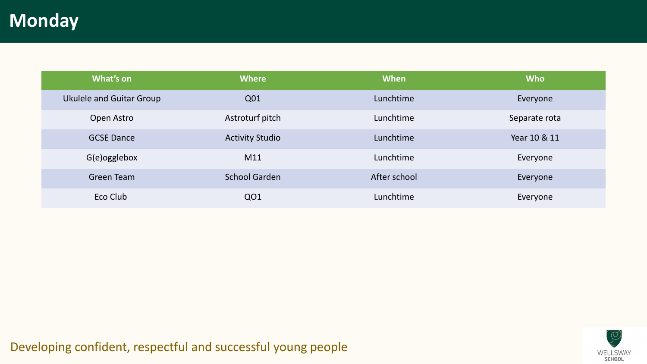## **Monday**

| What's on                | <b>Where</b>           | When         | <b>Who</b>    |
|--------------------------|------------------------|--------------|---------------|
| Ukulele and Guitar Group | Q01                    | Lunchtime    | Everyone      |
| Open Astro               | Astroturf pitch        | Lunchtime    | Separate rota |
| <b>GCSE Dance</b>        | <b>Activity Studio</b> | Lunchtime    | Year 10 & 11  |
| G(e)ogglebox             | M11                    | Lunchtime    | Everyone      |
| Green Team               | <b>School Garden</b>   | After school | Everyone      |
| Eco Club                 | QO1                    | Lunchtime    | Everyone      |

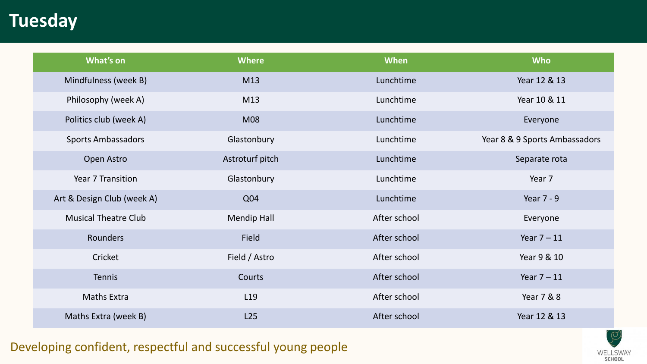## **Tuesday**

| What's on                   | <b>Where</b>       | When         | <b>Who</b>                    |
|-----------------------------|--------------------|--------------|-------------------------------|
| Mindfulness (week B)        | M13                | Lunchtime    | Year 12 & 13                  |
| Philosophy (week A)         | M13                | Lunchtime    | Year 10 & 11                  |
| Politics club (week A)      | <b>M08</b>         | Lunchtime    | Everyone                      |
| <b>Sports Ambassadors</b>   | Glastonbury        | Lunchtime    | Year 8 & 9 Sports Ambassadors |
| Open Astro                  | Astroturf pitch    | Lunchtime    | Separate rota                 |
| Year 7 Transition           | Glastonbury        | Lunchtime    | Year 7                        |
| Art & Design Club (week A)  | Q04                | Lunchtime    | Year 7 - 9                    |
| <b>Musical Theatre Club</b> | <b>Mendip Hall</b> | After school | Everyone                      |
| <b>Rounders</b>             | Field              | After school | Year $7 - 11$                 |
| Cricket                     | Field / Astro      | After school | Year 9 & 10                   |
| <b>Tennis</b>               | Courts             | After school | Year $7 - 11$                 |
| <b>Maths Extra</b>          | L <sub>19</sub>    | After school | Year 7 & 8                    |
| Maths Extra (week B)        | L25                | After school | Year 12 & 13                  |

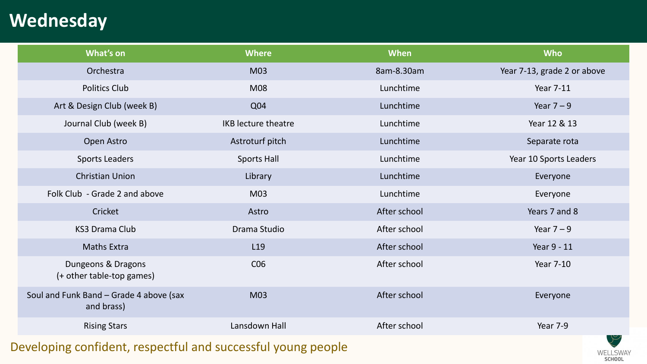# **Wednesday**

| What's on                                             | <b>Where</b>               | When         | <b>Who</b>                  |
|-------------------------------------------------------|----------------------------|--------------|-----------------------------|
| Orchestra                                             | M03                        | 8am-8.30am   | Year 7-13, grade 2 or above |
| <b>Politics Club</b>                                  | M08                        | Lunchtime    | <b>Year 7-11</b>            |
| Art & Design Club (week B)                            | Q04                        | Lunchtime    | Year $7 - 9$                |
| Journal Club (week B)                                 | <b>IKB</b> lecture theatre | Lunchtime    | Year 12 & 13                |
| Open Astro                                            | Astroturf pitch            | Lunchtime    | Separate rota               |
| <b>Sports Leaders</b>                                 | <b>Sports Hall</b>         | Lunchtime    | Year 10 Sports Leaders      |
| <b>Christian Union</b>                                | Library                    | Lunchtime    | Everyone                    |
| Folk Club - Grade 2 and above                         | M03                        | Lunchtime    | Everyone                    |
| Cricket                                               | Astro                      | After school | Years 7 and 8               |
| <b>KS3 Drama Club</b>                                 | Drama Studio               | After school | Year $7 - 9$                |
| <b>Maths Extra</b>                                    | L <sub>19</sub>            | After school | Year 9 - 11                 |
| Dungeons & Dragons<br>(+ other table-top games)       | C <sub>06</sub>            | After school | <b>Year 7-10</b>            |
| Soul and Funk Band - Grade 4 above (sax<br>and brass) | M03                        | After school | Everyone                    |
| <b>Rising Stars</b>                                   | Lansdown Hall              | After school | Year 7-9                    |

WELLSWAY SCHOOL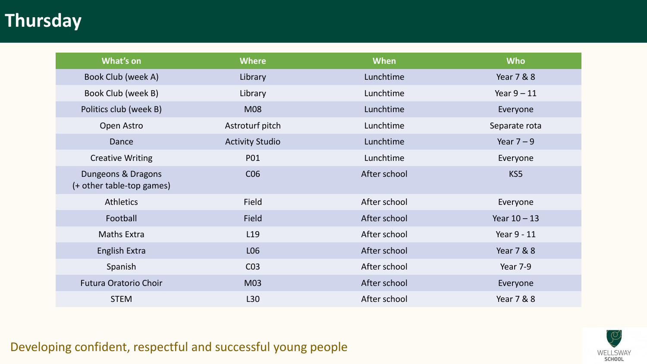## **Thursday**

| What's on                                       | <b>Where</b>           | When         | <b>Who</b>     |
|-------------------------------------------------|------------------------|--------------|----------------|
| Book Club (week A)                              | Library                | Lunchtime    | Year 7 & 8     |
| Book Club (week B)                              | Library                | Lunchtime    | Year $9 - 11$  |
| Politics club (week B)                          | <b>M08</b>             | Lunchtime    | Everyone       |
| Open Astro                                      | Astroturf pitch        | Lunchtime    | Separate rota  |
| Dance                                           | <b>Activity Studio</b> | Lunchtime    | Year $7 - 9$   |
| <b>Creative Writing</b>                         | P01                    | Lunchtime    | Everyone       |
| Dungeons & Dragons<br>(+ other table-top games) | C <sub>06</sub>        | After school | KS5            |
| <b>Athletics</b>                                | Field                  | After school | Everyone       |
| Football                                        | <b>Field</b>           | After school | Year $10 - 13$ |
| <b>Maths Extra</b>                              | L <sub>19</sub>        | After school | Year 9 - 11    |
| <b>English Extra</b>                            | L06                    | After school | Year 7 & 8     |
| Spanish                                         | CO <sub>3</sub>        | After school | Year 7-9       |
| <b>Futura Oratorio Choir</b>                    | M03                    | After school | Everyone       |
| <b>STEM</b>                                     | L30                    | After school | Year 7 & 8     |